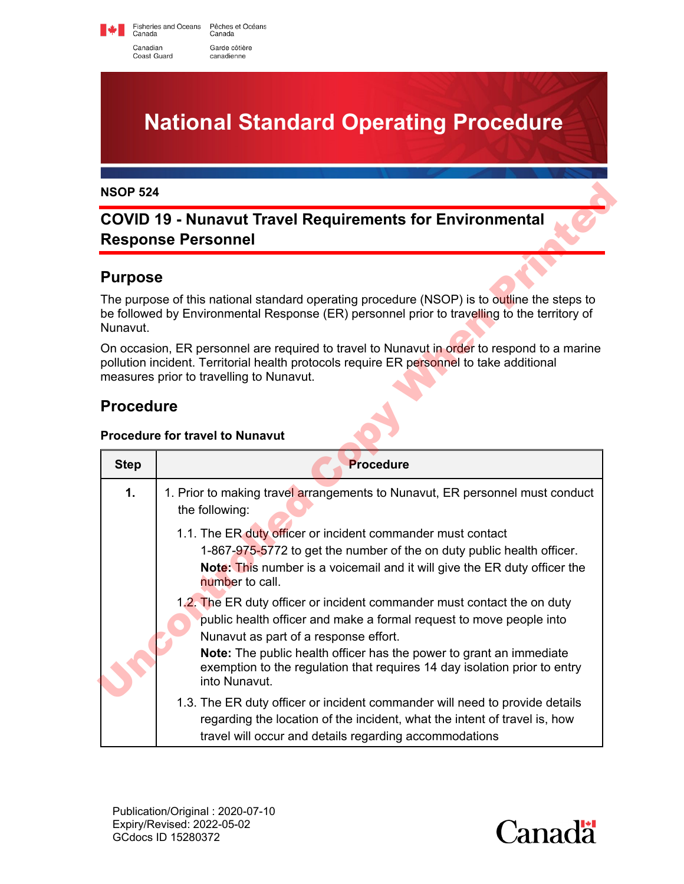Fisheries and Oceans Pêches et Océans<br>Canada Canada Canadian Garde côtière Coast Guard canadienne

**National Standard Operating Procedure**

## **COVID 19 - Nunavut Travel Requirements for Environmental Response Personnel**

#### **Purpose**

### **Procedure**

#### **Procedure for travel to Nunavut**

| <b>NSOP 524</b>                                                                              |                                                                                                                                                                                                                                                                                                                                                              |  |
|----------------------------------------------------------------------------------------------|--------------------------------------------------------------------------------------------------------------------------------------------------------------------------------------------------------------------------------------------------------------------------------------------------------------------------------------------------------------|--|
| <b>COVID 19 - Nunavut Travel Requirements for Environmental</b><br><b>Response Personnel</b> |                                                                                                                                                                                                                                                                                                                                                              |  |
| <b>Purpose</b>                                                                               |                                                                                                                                                                                                                                                                                                                                                              |  |
| Nunavut.                                                                                     | The purpose of this national standard operating procedure (NSOP) is to outline the steps to<br>be followed by Environmental Response (ER) personnel prior to travelling to the territory of                                                                                                                                                                  |  |
|                                                                                              | On occasion, ER personnel are required to travel to Nunavut in order to respond to a marine<br>pollution incident. Territorial health protocols require ER personnel to take additional<br>measures prior to travelling to Nunavut.                                                                                                                          |  |
| <b>Procedure</b>                                                                             |                                                                                                                                                                                                                                                                                                                                                              |  |
|                                                                                              | <b>Procedure for travel to Nunavut</b>                                                                                                                                                                                                                                                                                                                       |  |
| <b>Step</b>                                                                                  | <b>Procedure</b>                                                                                                                                                                                                                                                                                                                                             |  |
| $\mathbf 1$ .                                                                                | 1. Prior to making travel arrangements to Nunavut, ER personnel must conduct<br>the following:                                                                                                                                                                                                                                                               |  |
|                                                                                              | 1.1. The ER duty officer or incident commander must contact<br>1-867-975-5772 to get the number of the on duty public health officer.<br>Note: This number is a voicemail and it will give the ER duty officer the<br>number to call.                                                                                                                        |  |
|                                                                                              | 1.2. The ER duty officer or incident commander must contact the on duty<br>public health officer and make a formal request to move people into<br>Nunavut as part of a response effort.<br>Note: The public health officer has the power to grant an immediate<br>exemption to the regulation that requires 14 day isolation prior to entry<br>into Nunavut. |  |
|                                                                                              | 1.3. The ER duty officer or incident commander will need to provide details<br>regarding the location of the incident, what the intent of travel is, how<br>travel will occur and details regarding accommodations                                                                                                                                           |  |